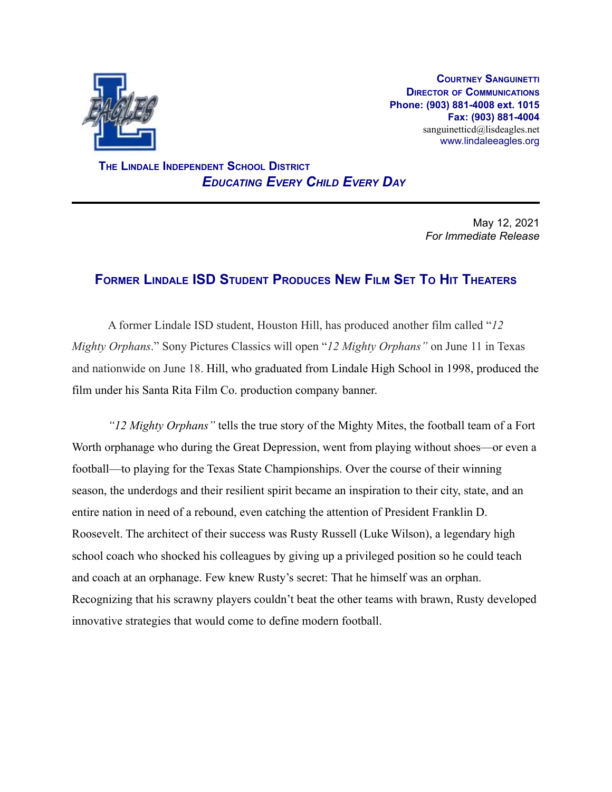

**COURTNEY SANGUINETTI DIRECTOR OF COMMUNICATIONS Phone: (903) 881-4008 ext. 1015 Fax: (903) 881-4004** sanguinetticd@lisdeagles.net www.lindaleeagles.org

**THE LINDALE INDEPENDENT SCHOOL DISTRICT** *EDUCATING EVERY CHILD EVERY DAY*

> May 12, 2021 *For Immediate Release*

## **FORMER LINDALE ISD STUDENT PRODUCES NEW FILM SET TO HIT THEATERS**

A former Lindale ISD student, Houston Hill, has produced another film called "*12 Mighty Orphans*." Sony Pictures Classics will open "*12 Mighty Orphans"* on June 11 in Texas and nationwide on June 18. Hill, who graduated from Lindale High School in 1998, produced the film under his Santa Rita Film Co. production company banner.

*"12 Mighty Orphans"* tells the true story of the Mighty Mites, the football team of a Fort Worth orphanage who during the Great Depression, went from playing without shoes—or even a football—to playing for the Texas State Championships. Over the course of their winning season, the underdogs and their resilient spirit became an inspiration to their city, state, and an entire nation in need of a rebound, even catching the attention of President Franklin D. Roosevelt. The architect of their success was Rusty Russell (Luke Wilson), a legendary high school coach who shocked his colleagues by giving up a privileged position so he could teach and coach at an orphanage. Few knew Rusty's secret: That he himself was an orphan. Recognizing that his scrawny players couldn't beat the other teams with brawn, Rusty developed innovative strategies that would come to define modern football.